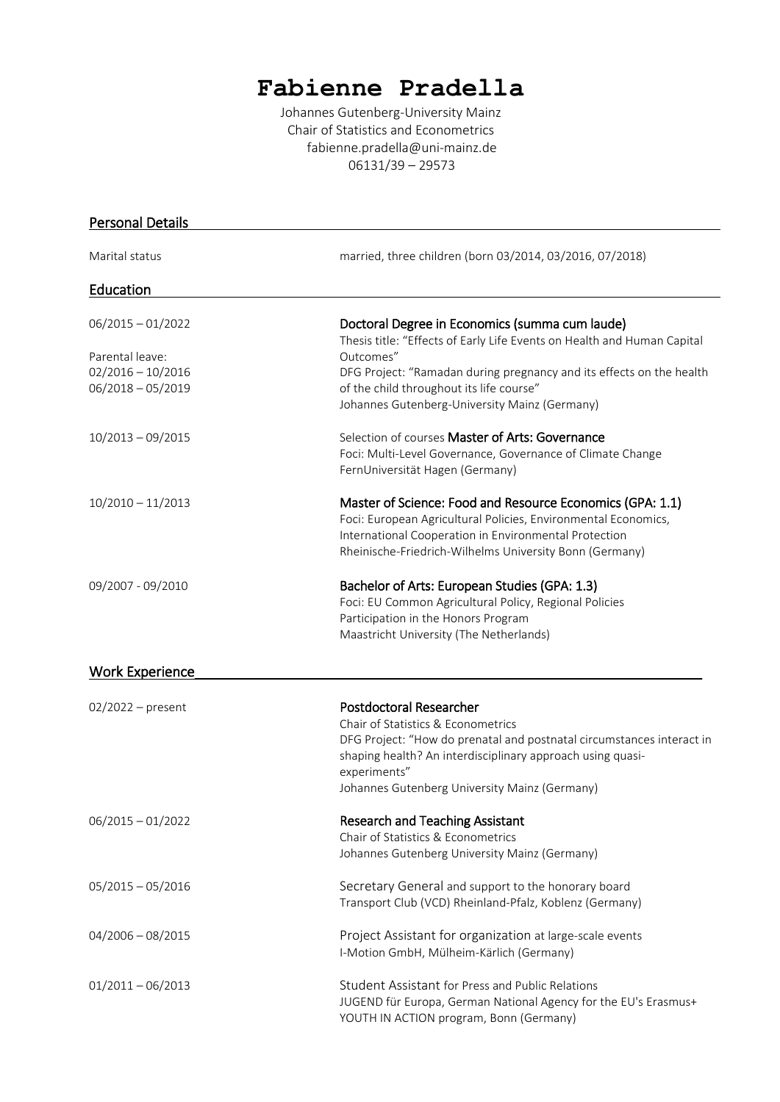# **Fabienne Pradella**

Johannes Gutenberg-University Mainz Chair of Statistics and Econometrics fabienne.pradella@uni-mainz.de 06131/39 – 29573

| <b>Personal Details</b>                    |                                                                                                                                                                   |
|--------------------------------------------|-------------------------------------------------------------------------------------------------------------------------------------------------------------------|
| Marital status                             | married, three children (born 03/2014, 03/2016, 07/2018)                                                                                                          |
| Education                                  |                                                                                                                                                                   |
| $06/2015 - 01/2022$                        | Doctoral Degree in Economics (summa cum laude)<br>Thesis title: "Effects of Early Life Events on Health and Human Capital                                         |
| Parental leave:                            | Outcomes"                                                                                                                                                         |
| $02/2016 - 10/2016$<br>$06/2018 - 05/2019$ | DFG Project: "Ramadan during pregnancy and its effects on the health<br>of the child throughout its life course"<br>Johannes Gutenberg-University Mainz (Germany) |
|                                            |                                                                                                                                                                   |
| $10/2013 - 09/2015$                        | Selection of courses Master of Arts: Governance                                                                                                                   |
|                                            | Foci: Multi-Level Governance, Governance of Climate Change<br>FernUniversität Hagen (Germany)                                                                     |
| $10/2010 - 11/2013$                        | Master of Science: Food and Resource Economics (GPA: 1.1)                                                                                                         |
|                                            | Foci: European Agricultural Policies, Environmental Economics,                                                                                                    |
|                                            | International Cooperation in Environmental Protection                                                                                                             |
|                                            | Rheinische-Friedrich-Wilhelms University Bonn (Germany)                                                                                                           |
| 09/2007 - 09/2010                          | Bachelor of Arts: European Studies (GPA: 1.3)                                                                                                                     |
|                                            | Foci: EU Common Agricultural Policy, Regional Policies                                                                                                            |
|                                            | Participation in the Honors Program                                                                                                                               |
|                                            | Maastricht University (The Netherlands)                                                                                                                           |
| <b>Work Experience</b>                     |                                                                                                                                                                   |
| $02/2022$ – present                        | <b>Postdoctoral Researcher</b>                                                                                                                                    |
|                                            | Chair of Statistics & Econometrics                                                                                                                                |
|                                            | DFG Project: "How do prenatal and postnatal circumstances interact in<br>shaping health? An interdisciplinary approach using quasi-                               |
|                                            | experiments"<br>Johannes Gutenberg University Mainz (Germany)                                                                                                     |
|                                            |                                                                                                                                                                   |
| $06/2015 - 01/2022$                        | <b>Research and Teaching Assistant</b>                                                                                                                            |
|                                            | Chair of Statistics & Econometrics                                                                                                                                |
|                                            | Johannes Gutenberg University Mainz (Germany)                                                                                                                     |
| $05/2015 - 05/2016$                        | Secretary General and support to the honorary board                                                                                                               |
|                                            | Transport Club (VCD) Rheinland-Pfalz, Koblenz (Germany)                                                                                                           |
| $04/2006 - 08/2015$                        | Project Assistant for organization at large-scale events                                                                                                          |
|                                            | I-Motion GmbH, Mülheim-Kärlich (Germany)                                                                                                                          |
| $01/2011 - 06/2013$                        | Student Assistant for Press and Public Relations                                                                                                                  |
|                                            | JUGEND für Europa, German National Agency for the EU's Erasmus+                                                                                                   |
|                                            | YOUTH IN ACTION program, Bonn (Germany)                                                                                                                           |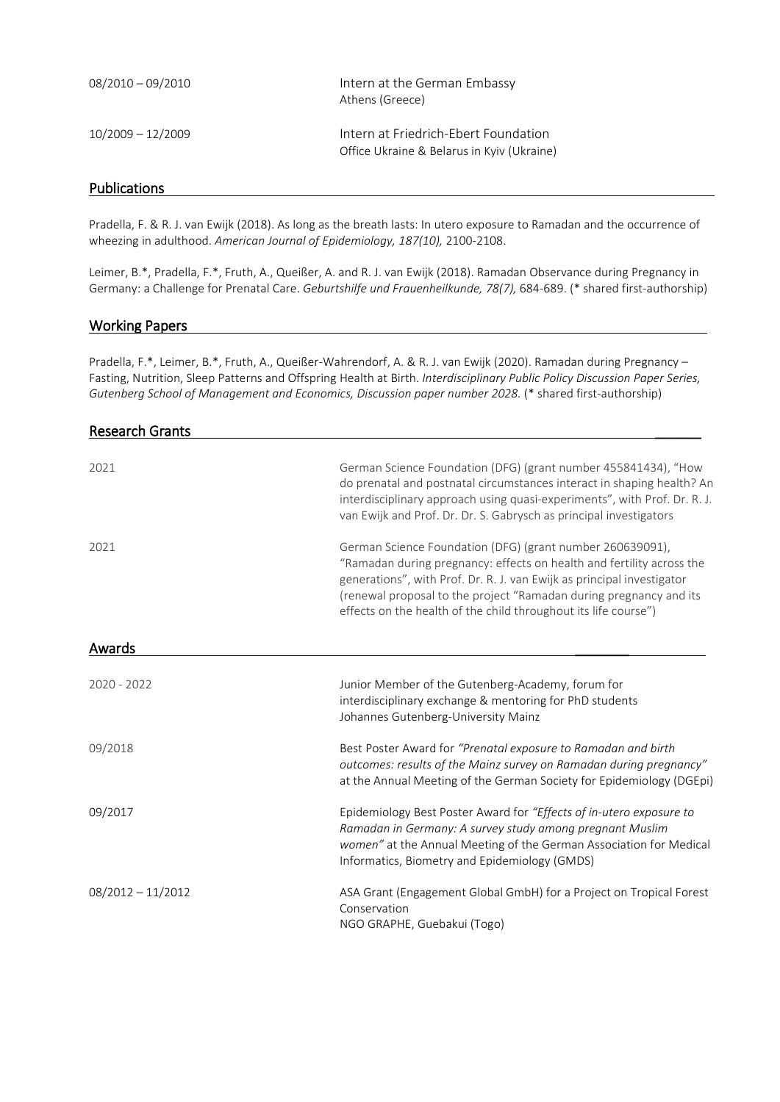| 08/2010 - 09/2010   | Intern at the German Embassy<br>Athens (Greece)                                    |
|---------------------|------------------------------------------------------------------------------------|
| $10/2009 - 12/2009$ | Intern at Friedrich-Ebert Foundation<br>Office Ukraine & Belarus in Kyiv (Ukraine) |

### Publications

Pradella, F. & R. J. van Ewijk (2018). As long as the breath lasts: In utero exposure to Ramadan and the occurrence of wheezing in adulthood. *American Journal of Epidemiology, 187(10),* 2100-2108.

Leimer, B.\*, Pradella, F.\*, Fruth, A., Queißer, A. and R. J. van Ewijk (2018). Ramadan Observance during Pregnancy in Germany: a Challenge for Prenatal Care. *Geburtshilfe und Frauenheilkunde, 78(7),* 684-689. (\* shared first-authorship)

#### Working Papers

Pradella, F.\*, Leimer, B.\*, Fruth, A., Queißer-Wahrendorf, A. & R. J. van Ewijk (2020). Ramadan during Pregnancy – Fasting, Nutrition, Sleep Patterns and Offspring Health at Birth. *Interdisciplinary Public Policy Discussion Paper Series, Gutenberg School of Management and Economics, Discussion paper number 2028.* (\* shared first-authorship)

| <b>Research Grants</b> |                                                                                                                                                                                                                                                                                                                                                       |
|------------------------|-------------------------------------------------------------------------------------------------------------------------------------------------------------------------------------------------------------------------------------------------------------------------------------------------------------------------------------------------------|
| 2021                   | German Science Foundation (DFG) (grant number 455841434), "How<br>do prenatal and postnatal circumstances interact in shaping health? An<br>interdisciplinary approach using quasi-experiments", with Prof. Dr. R. J.<br>van Ewijk and Prof. Dr. Dr. S. Gabrysch as principal investigators                                                           |
| 2021                   | German Science Foundation (DFG) (grant number 260639091),<br>"Ramadan during pregnancy: effects on health and fertility across the<br>generations", with Prof. Dr. R. J. van Ewijk as principal investigator<br>(renewal proposal to the project "Ramadan during pregnancy and its<br>effects on the health of the child throughout its life course") |
| Awards                 |                                                                                                                                                                                                                                                                                                                                                       |
| $2020 - 2022$          | Junior Member of the Gutenberg-Academy, forum for<br>interdisciplinary exchange & mentoring for PhD students<br>Johannes Gutenberg-University Mainz                                                                                                                                                                                                   |
| 09/2018                | Best Poster Award for "Prenatal exposure to Ramadan and birth<br>outcomes: results of the Mainz survey on Ramadan during pregnancy"<br>at the Annual Meeting of the German Society for Epidemiology (DGEpi)                                                                                                                                           |
| 09/2017                | Epidemiology Best Poster Award for "Effects of in-utero exposure to<br>Ramadan in Germany: A survey study among pregnant Muslim<br>women" at the Annual Meeting of the German Association for Medical<br>Informatics, Biometry and Epidemiology (GMDS)                                                                                                |
| $08/2012 - 11/2012$    | ASA Grant (Engagement Global GmbH) for a Project on Tropical Forest<br>Conservation<br>NGO GRAPHE, Guebakui (Togo)                                                                                                                                                                                                                                    |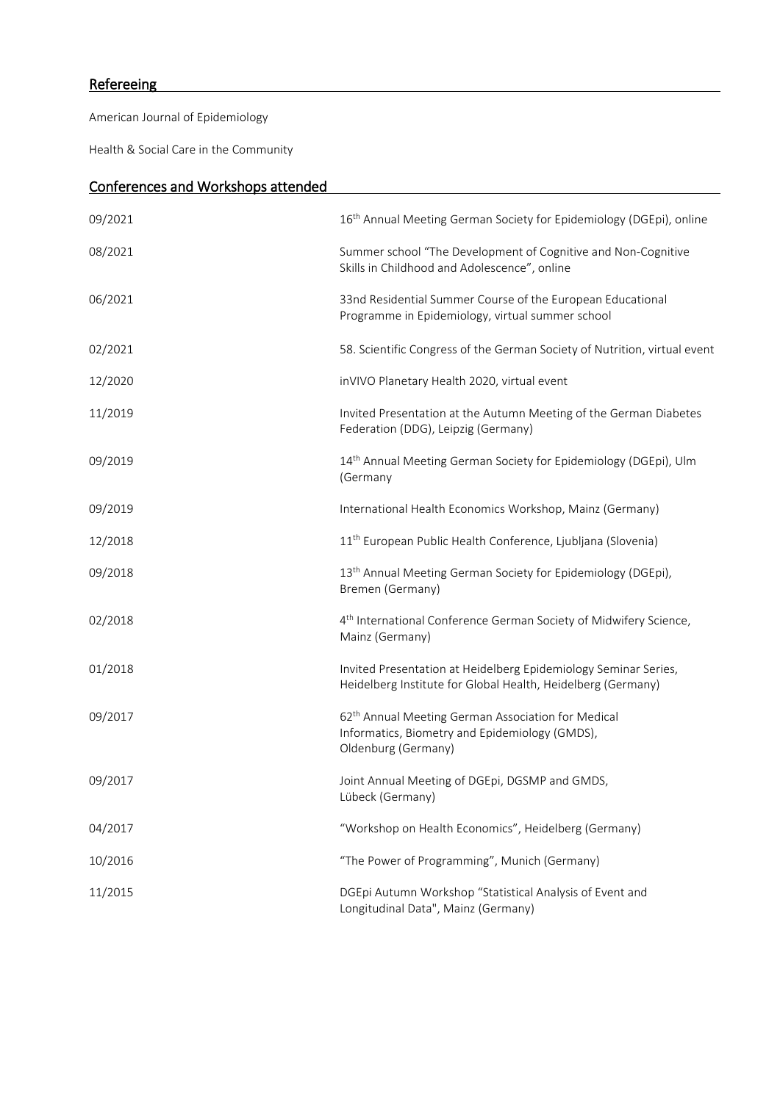# **Refereeing**

American Journal of Epidemiology

Health & Social Care in the Community

| <b>Conferences and Workshops attended</b> |                                                                                                                                         |  |
|-------------------------------------------|-----------------------------------------------------------------------------------------------------------------------------------------|--|
| 09/2021                                   | 16 <sup>th</sup> Annual Meeting German Society for Epidemiology (DGEpi), online                                                         |  |
| 08/2021                                   | Summer school "The Development of Cognitive and Non-Cognitive<br>Skills in Childhood and Adolescence", online                           |  |
| 06/2021                                   | 33nd Residential Summer Course of the European Educational<br>Programme in Epidemiology, virtual summer school                          |  |
| 02/2021                                   | 58. Scientific Congress of the German Society of Nutrition, virtual event                                                               |  |
| 12/2020                                   | inVIVO Planetary Health 2020, virtual event                                                                                             |  |
| 11/2019                                   | Invited Presentation at the Autumn Meeting of the German Diabetes<br>Federation (DDG), Leipzig (Germany)                                |  |
| 09/2019                                   | 14th Annual Meeting German Society for Epidemiology (DGEpi), Ulm<br>(Germany                                                            |  |
| 09/2019                                   | International Health Economics Workshop, Mainz (Germany)                                                                                |  |
| 12/2018                                   | 11 <sup>th</sup> European Public Health Conference, Ljubljana (Slovenia)                                                                |  |
| 09/2018                                   | 13 <sup>th</sup> Annual Meeting German Society for Epidemiology (DGEpi),<br>Bremen (Germany)                                            |  |
| 02/2018                                   | 4 <sup>th</sup> International Conference German Society of Midwifery Science,<br>Mainz (Germany)                                        |  |
| 01/2018                                   | Invited Presentation at Heidelberg Epidemiology Seminar Series,<br>Heidelberg Institute for Global Health, Heidelberg (Germany)         |  |
| 09/2017                                   | 62 <sup>th</sup> Annual Meeting German Association for Medical<br>Informatics, Biometry and Epidemiology (GMDS),<br>Oldenburg (Germany) |  |
| 09/2017                                   | Joint Annual Meeting of DGEpi, DGSMP and GMDS,<br>Lübeck (Germany)                                                                      |  |
| 04/2017                                   | "Workshop on Health Economics", Heidelberg (Germany)                                                                                    |  |
| 10/2016                                   | "The Power of Programming", Munich (Germany)                                                                                            |  |
| 11/2015                                   | DGEpi Autumn Workshop "Statistical Analysis of Event and<br>Longitudinal Data", Mainz (Germany)                                         |  |